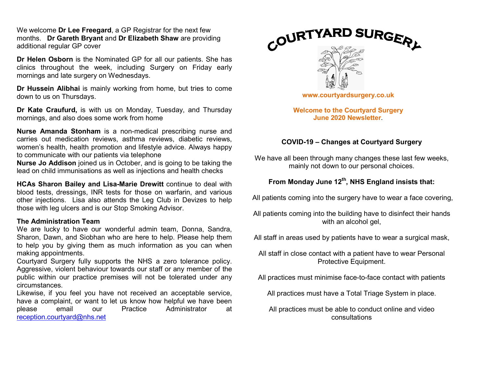We welcome **Dr Lee Freegard**, a GP Registrar for the next few months. Dr Gareth Bryant and Dr Elizabeth Shaw are providing additional regular GP cover

Dr Helen Osborn is the Nominated GP for all our patients. She has clinics throughout the week, including Surgery on Friday early mornings and late surgery on Wednesdays.

Dr Hussein Alibhai is mainly working from home, but tries to come down to us on Thursdays.

Dr Kate Craufurd, is with us on Monday, Tuesday, and Thursday mornings, and also does some work from home

Nurse Amanda Stonham is a non-medical prescribing nurse and carries out medication reviews, asthma reviews, diabetic reviews, women's health, health promotion and lifestyle advice. Always happy to communicate with our patients via telephone

Nurse Jo Addison joined us in October, and is going to be taking the lead on child immunisations as well as injections and health checks

HCAs Sharon Bailey and Lisa-Marie Drewitt continue to deal with blood tests, dressings, INR tests for those on warfarin, and various other injections. Lisa also attends the Leg Club in Devizes to help those with leg ulcers and is our Stop Smoking Advisor.

#### The Administration Team

We are lucky to have our wonderful admin team, Donna, Sandra, Sharon, Dawn, and Siobhan who are here to help. Please help them to help you by giving them as much information as you can when making appointments.

Courtyard Surgery fully supports the NHS a zero tolerance policy. Aggressive, violent behaviour towards our staff or any member of the public within our practice premises will not be tolerated under any circumstances.

Likewise, if you feel you have not received an acceptable service, have a complaint, or want to let us know how helpful we have been please email our Practice Administrator at reception.courtyard@nhs.net



Welcome to the Courtyard Surgery June 2020 Newsletter.

### COVID-19 – Changes at Courtyard Surgery

We have all been through many changes these last few weeks, mainly not down to our personal choices.

# From Monday June  $12^{th}$ , NHS England insists that:

All patients coming into the surgery have to wear a face covering,

All patients coming into the building have to disinfect their hands with an alcohol gel,

All staff in areas used by patients have to wear a surgical mask,

All staff in close contact with a patient have to wear Personal Protective Equipment.

All practices must minimise face-to-face contact with patients

All practices must have a Total Triage System in place.

All practices must be able to conduct online and video consultations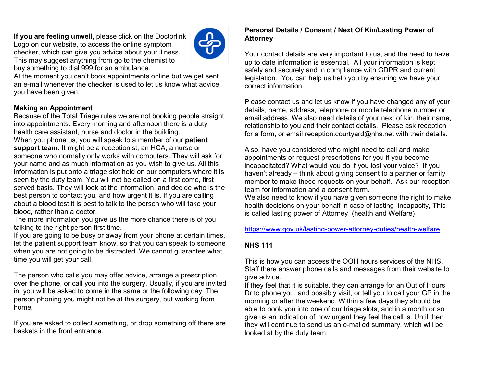If you are feeling unwell, please click on the Doctorlink Logo on our website, to access the online symptom checker, which can give you advice about your illness. This may suggest anything from go to the chemist to buy something to dial 999 for an ambulance.



At the moment you can't book appointments online but we get sent an e-mail whenever the checker is used to let us know what advice you have been given.

## Making an Appointment

Because of the Total Triage rules we are not booking people straight into appointments. Every morning and afternoon there is a duty health care assistant, nurse and doctor in the building. When you phone us, you will speak to a member of our **patient** support team. It might be a receptionist, an HCA, a nurse or someone who normally only works with computers. They will ask for your name and as much information as you wish to give us. All this information is put onto a triage slot held on our computers where it is seen by the duty team. You will not be called on a first come, first served basis. They will look at the information, and decide who is the best person to contact you, and how urgent it is. If you are calling about a blood test it is best to talk to the person who will take your blood, rather than a doctor.

The more information you give us the more chance there is of you talking to the right person first time.

If you are going to be busy or away from your phone at certain times, let the patient support team know, so that you can speak to someone when you are not going to be distracted. We cannot guarantee what time you will get your call.

The person who calls you may offer advice, arrange a prescription over the phone, or call you into the surgery. Usually, if you are invited in, you will be asked to come in the same or the following day. The person phoning you might not be at the surgery, but working from home.

If you are asked to collect something, or drop something off there are baskets in the front entrance.

### Personal Details / Consent / Next Of Kin/Lasting Power of Attorney

Your contact details are very important to us, and the need to have up to date information is essential. All your information is kept safely and securely and in compliance with GDPR and current legislation. You can help us help you by ensuring we have your correct information.

Please contact us and let us know if you have changed any of your details, name, address, telephone or mobile telephone number or email address. We also need details of your next of kin, their name, relationship to you and their contact details. Please ask reception for a form, or email reception.courtyard@nhs.net with their details.

Also, have you considered who might need to call and make appointments or request prescriptions for you if you become incapacitated? What would you do if you lost your voice? If you haven't already – think about giving consent to a partner or family member to make these requests on your behalf. Ask our reception team for information and a consent form.

We also need to know if you have given someone the right to make health decisions on your behalf in case of lasting incapacity, This is called lasting power of Attorney (health and Welfare)

#### https://www.gov.uk/lasting-power-attorney-duties/health-welfare

## NHS 111

This is how you can access the OOH hours services of the NHS. Staff there answer phone calls and messages from their website to give advice.

If they feel that it is suitable, they can arrange for an Out of Hours Dr to phone you, and possibly visit, or tell you to call your GP in the morning or after the weekend. Within a few days they should be able to book you into one of our triage slots, and in a month or so give us an indication of how urgent they feel the call is. Until then they will continue to send us an e-mailed summary, which will be looked at by the duty team.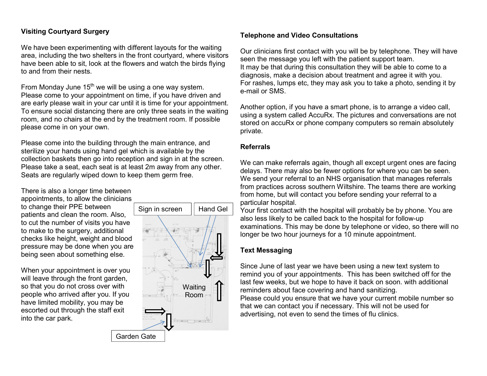## Visiting Courtyard Surgery

We have been experimenting with different layouts for the waiting area, including the two shelters in the front courtyard, where visitors have been able to sit, look at the flowers and watch the birds flying to and from their nests.

From Monday June  $15<sup>th</sup>$  we will be using a one way system. Please come to your appointment on time, if you have driven and are early please wait in your car until it is time for your appointment. To ensure social distancing there are only three seats in the waiting room, and no chairs at the end by the treatment room. If possible please come in on your own.

Please come into the building through the main entrance, and sterilize your hands using hand gel which is available by the collection baskets then go into reception and sign in at the screen. Please take a seat, each seat is at least 2m away from any other. Seats are regularly wiped down to keep them germ free.

There is also a longer time between appointments, to allow the clinicians to change their PPE between patients and clean the room. Also, to cut the number of visits you have to make to the surgery, additional checks like height, weight and blood pressure may be done when you are being seen about something else.

When your appointment is over you will leave through the front garden, so that you do not cross over with people who arrived after you. If you have limited mobility, you may be escorted out through the staff exit into the car park.



### Telephone and Video Consultations

Our clinicians first contact with you will be by telephone. They will have seen the message you left with the patient support team. It may be that during this consultation they will be able to come to a diagnosis, make a decision about treatment and agree it with you. For rashes, lumps etc, they may ask you to take a photo, sending it by e-mail or SMS.

 using a system called AccuRx. The pictures and conversations are not Another option, if you have a smart phone, is to arrange a video call, stored on accuRx or phone company computers so remain absolutely private.

### Referrals

We can make referrals again, though all except urgent ones are facing delays. There may also be fewer options for where you can be seen. We send your referral to an NHS organisation that manages referrals from practices across southern Wiltshire. The teams there are working from home, but will contact you before sending your referral to a particular hospital.

Your first contact with the hospital will probably be by phone. You are also less likely to be called back to the hospital for follow-up examinations. This may be done by telephone or video, so there will no longer be two hour journeys for a 10 minute appointment.

## Text Messaging

Since June of last year we have been using a new text system to remind you of your appointments. This has been switched off for the last few weeks, but we hope to have it back on soon. with additional reminders about face covering and hand sanitizing. Please could you ensure that we have your current mobile number so that we can contact you if necessary. This will not be used for advertising, not even to send the times of flu clinics.